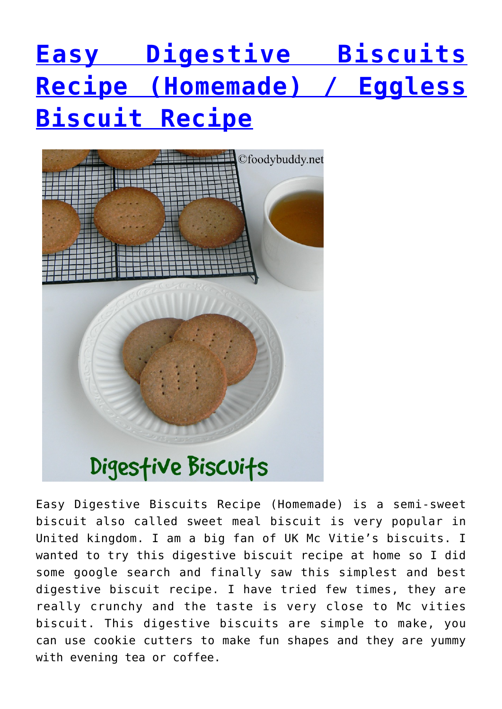## **[Easy Digestive Biscuits](https://foodybuddy.net/2016/06/23/easy-digestive-biscuits-recipe-make-mcvities-biscuit.html) [Recipe \(Homemade\) / Eggless](https://foodybuddy.net/2016/06/23/easy-digestive-biscuits-recipe-make-mcvities-biscuit.html) [Biscuit Recipe](https://foodybuddy.net/2016/06/23/easy-digestive-biscuits-recipe-make-mcvities-biscuit.html)**



Easy Digestive Biscuits Recipe (Homemade) is a semi-sweet biscuit also called sweet meal biscuit is very popular in United kingdom. I am a big fan of UK Mc Vitie's biscuits. I wanted to try this digestive biscuit recipe at home so I did some google search and finally saw this simplest and best digestive biscuit recipe. I have tried few times, they are really crunchy and the taste is very close to Mc vities biscuit. This digestive biscuits are simple to make, you can use cookie cutters to make fun shapes and they are yummy with evening tea or coffee.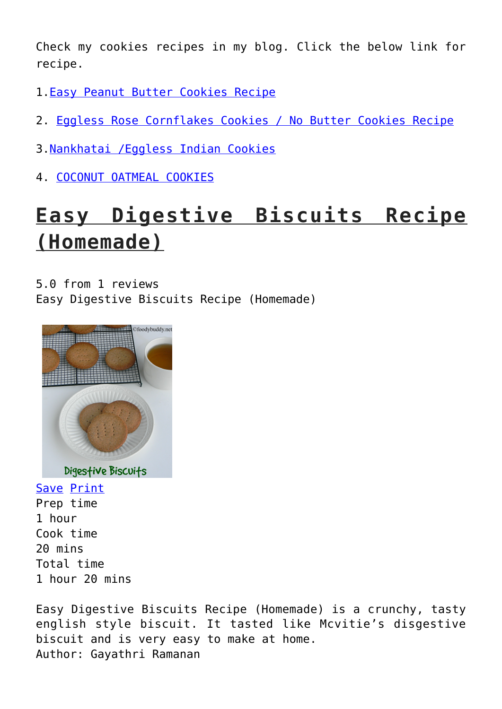Check my cookies recipes in my blog. Click the below link for recipe.

- 1.[Easy Peanut Butter Cookies Recipe](http://foodybuddy.net/2016/01/27/easy-peanut-butter-cookies-recipe-eggless-cookies.html)
- 2. [Eggless Rose Cornflakes Cookies / No Butter Cookies Recipe](http://foodybuddy.net/2015/02/11/eggless-rose-cornflakes-cookies-butter-cookies-recipe.html)
- 3.[Nankhatai /Eggless Indian Cookies](http://foodybuddy.net/2013/08/08/nankhatai-eggless-indian-cookies-cookies-recipe.html)
- 4. [COCONUT OATMEAL COOKIES](http://foodybuddy.net/2013/02/14/coconut-oatmeal-cookies-with-coconut-oil-baking-recipes.html)

## **Easy Digestive Biscuits Recipe (Homemade)**

5.0 from 1 reviews Easy Digestive Biscuits Recipe (Homemade)



Digestive Biscuits

Save [Print](https://foodybuddy.net/easyrecipe-print/3785-0/) Prep time 1 hour Cook time 20 mins Total time 1 hour 20 mins

Easy Digestive Biscuits Recipe (Homemade) is a crunchy, tasty english style biscuit. It tasted like Mcvitie's disgestive biscuit and is very easy to make at home. Author: Gayathri Ramanan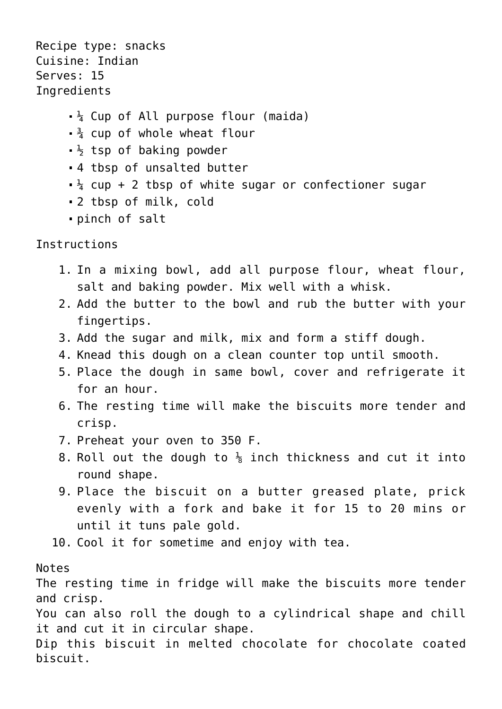Recipe type: snacks Cuisine: Indian Serves: 15 **Ingredients** 

- $\frac{1}{4}$  Cup of All purpose flour (maida)
- $\frac{3}{4}$  cup of whole wheat flour
- $\frac{1}{2}$  tsp of baking powder
- 4 tbsp of unsalted butter
- $\frac{1}{4}$  cup + 2 tbsp of white sugar or confectioner sugar
- 2 tbsp of milk, cold
- pinch of salt

Instructions

- 1. In a mixing bowl, add all purpose flour, wheat flour, salt and baking powder. Mix well with a whisk.
- 2. Add the butter to the bowl and rub the butter with your fingertips.
- 3. Add the sugar and milk, mix and form a stiff dough.
- 4. Knead this dough on a clean counter top until smooth.
- 5. Place the dough in same bowl, cover and refrigerate it for an hour.
- 6. The resting time will make the biscuits more tender and crisp.
- 7. Preheat your oven to 350 F.
- 8. Roll out the dough to  $\frac{1}{8}$  inch thickness and cut it into round shape.
- 9. Place the biscuit on a butter greased plate, prick evenly with a fork and bake it for 15 to 20 mins or until it tuns pale gold.
- 10. Cool it for sometime and enjoy with tea.

## Notes

The resting time in fridge will make the biscuits more tender and crisp.

You can also roll the dough to a cylindrical shape and chill it and cut it in circular shape.

Dip this biscuit in melted chocolate for chocolate coated biscuit.